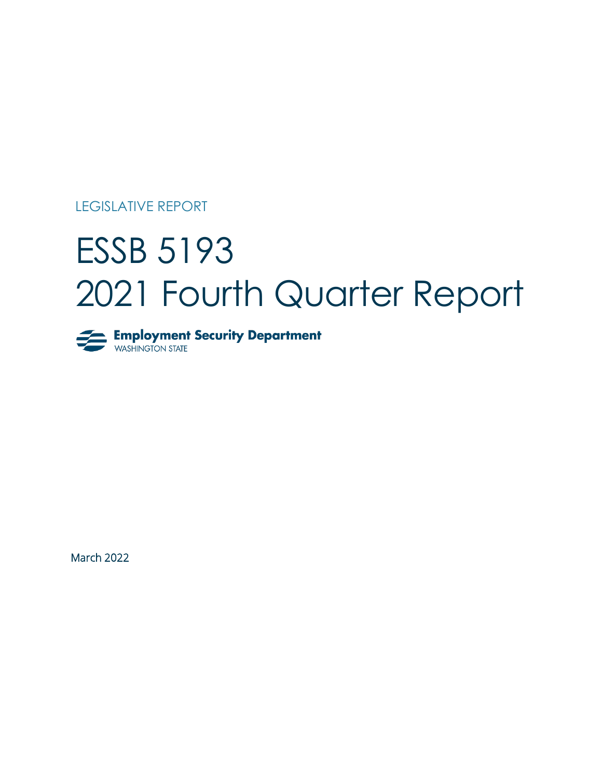LEGISLATIVE REPORT

# ESSB 5193 2021 Fourth Quarter Report



March 2022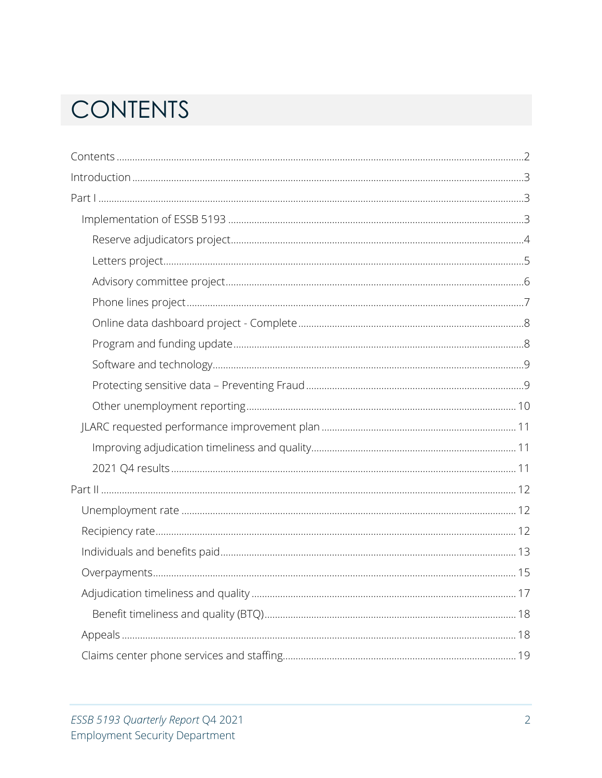## <span id="page-1-0"></span>**CONTENTS**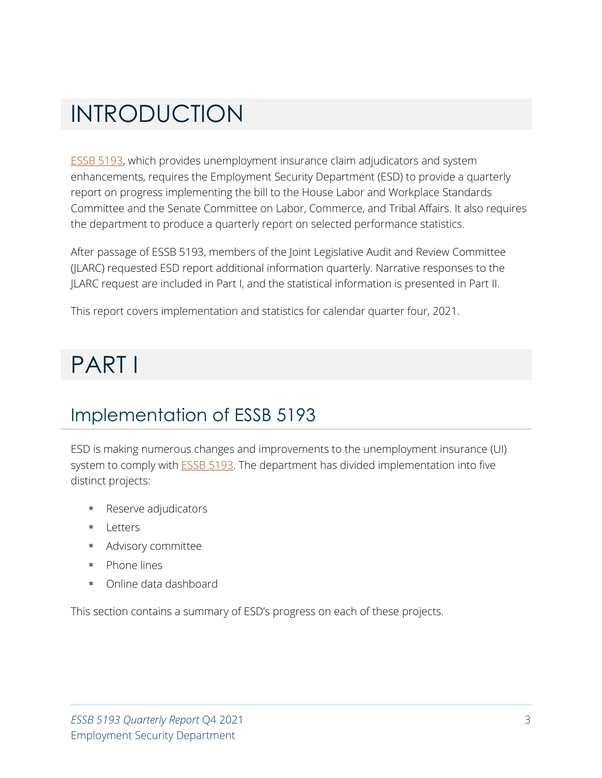## <span id="page-2-0"></span>INTRODUCTION

**ESSB 5193**, which provides unemployment insurance claim adjudicators and system enhancements, requires the Employment Security Department (ESD) to provide a quarterly report on progress implementing the bill to the House Labor and Workplace Standards Committee and the Senate Committee on Labor, Commerce, and Tribal Affairs. It also requires the department to produce a quarterly report on selected performance statistics.

After passage of ESSB 5193, members of the Joint Legislative Audit and Review Committee (JLARC) requested ESD report additional information quarterly. Narrative responses to the JLARC request are included in Part I, and the statistical information is presented in Part II.

This report covers implementation and statistics for calendar quarter four, 2021.

## <span id="page-2-1"></span>PART I

### <span id="page-2-2"></span>Implementation of ESSB 5193

ESD is making numerous changes and improvements to the unemployment insurance (UI) system to comply with **ESSB 5193**. The department has divided implementation into five distinct projects:

- **Reserve adjudicators**
- **Letters**
- **Advisory committee**
- **Phone lines**
- Online data dashboard

This section contains a summary of ESD's progress on each of these projects.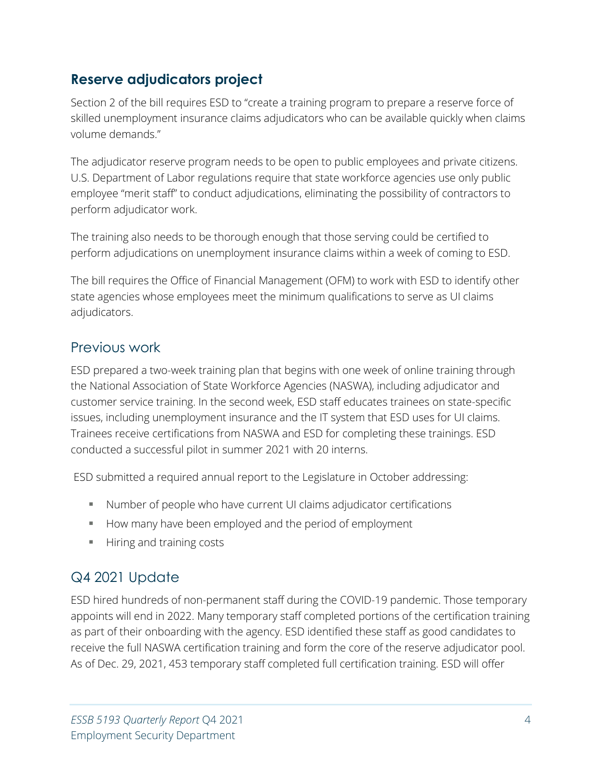#### <span id="page-3-0"></span>**Reserve adjudicators project**

Section 2 of the bill requires ESD to "create a training program to prepare a reserve force of skilled unemployment insurance claims adjudicators who can be available quickly when claims volume demands."

The adjudicator reserve program needs to be open to public employees and private citizens. U.S. Department of Labor regulations require that state workforce agencies use only public employee "merit staff" to conduct adjudications, eliminating the possibility of contractors to perform adjudicator work.

The training also needs to be thorough enough that those serving could be certified to perform adjudications on unemployment insurance claims within a week of coming to ESD.

The bill requires the Office of Financial Management (OFM) to work with ESD to identify other state agencies whose employees meet the minimum qualifications to serve as UI claims adjudicators.

#### Previous work

ESD prepared a two-week training plan that begins with one week of online training through the National Association of State Workforce Agencies (NASWA), including adjudicator and customer service training. In the second week, ESD staff educates trainees on state-specific issues, including unemployment insurance and the IT system that ESD uses for UI claims. Trainees receive certifications from NASWA and ESD for completing these trainings. ESD conducted a successful pilot in summer 2021 with 20 interns.

ESD submitted a required annual report to the Legislature in October addressing:

- Number of people who have current UI claims adjudicator certifications
- How many have been employed and the period of employment
- **Hiring and training costs**

#### Q4 2021 Update

ESD hired hundreds of non-permanent staff during the COVID-19 pandemic. Those temporary appoints will end in 2022. Many temporary staff completed portions of the certification training as part of their onboarding with the agency. ESD identified these staff as good candidates to receive the full NASWA certification training and form the core of the reserve adjudicator pool. As of Dec. 29, 2021, 453 temporary staff completed full certification training. ESD will offer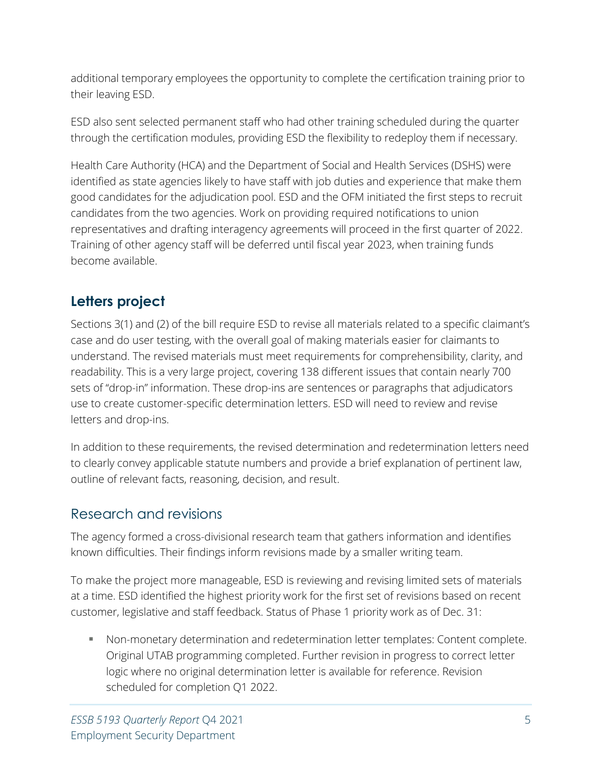additional temporary employees the opportunity to complete the certification training prior to their leaving ESD.

ESD also sent selected permanent staff who had other training scheduled during the quarter through the certification modules, providing ESD the flexibility to redeploy them if necessary.

Health Care Authority (HCA) and the Department of Social and Health Services (DSHS) were identified as state agencies likely to have staff with job duties and experience that make them good candidates for the adjudication pool. ESD and the OFM initiated the first steps to recruit candidates from the two agencies. Work on providing required notifications to union representatives and drafting interagency agreements will proceed in the first quarter of 2022. Training of other agency staff will be deferred until fiscal year 2023, when training funds become available.

#### <span id="page-4-0"></span>**Letters project**

Sections 3(1) and (2) of the bill require ESD to revise all materials related to a specific claimant's case and do user testing, with the overall goal of making materials easier for claimants to understand. The revised materials must meet requirements for comprehensibility, clarity, and readability. This is a very large project, covering 138 different issues that contain nearly 700 sets of "drop-in" information. These drop-ins are sentences or paragraphs that adjudicators use to create customer-specific determination letters. ESD will need to review and revise letters and drop-ins.

In addition to these requirements, the revised determination and redetermination letters need to clearly convey applicable statute numbers and provide a brief explanation of pertinent law, outline of relevant facts, reasoning, decision, and result.

#### Research and revisions

The agency formed a cross-divisional research team that gathers information and identifies known difficulties. Their findings inform revisions made by a smaller writing team.

To make the project more manageable, ESD is reviewing and revising limited sets of materials at a time. ESD identified the highest priority work for the first set of revisions based on recent customer, legislative and staff feedback. Status of Phase 1 priority work as of Dec. 31:

 Non-monetary determination and redetermination letter templates: Content complete. Original UTAB programming completed. Further revision in progress to correct letter logic where no original determination letter is available for reference. Revision scheduled for completion Q1 2022.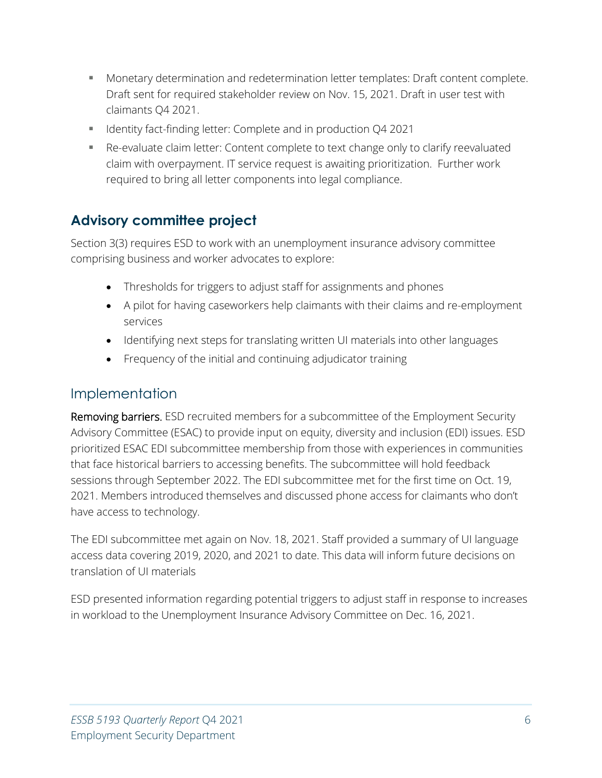- Monetary determination and redetermination letter templates: Draft content complete. Draft sent for required stakeholder review on Nov. 15, 2021. Draft in user test with claimants Q4 2021.
- **IDED 18 IDENT** Identity fact-finding letter: Complete and in production Q4 2021
- Re-evaluate claim letter: Content complete to text change only to clarify reevaluated claim with overpayment. IT service request is awaiting prioritization. Further work required to bring all letter components into legal compliance.

#### <span id="page-5-0"></span>**Advisory committee project**

Section 3(3) requires ESD to work with an unemployment insurance advisory committee comprising business and worker advocates to explore:

- Thresholds for triggers to adjust staff for assignments and phones
- A pilot for having caseworkers help claimants with their claims and re-employment services
- Identifying next steps for translating written UI materials into other languages
- Frequency of the initial and continuing adjudicator training

#### Implementation

Removing barriers. ESD recruited members for a subcommittee of the Employment Security Advisory Committee (ESAC) to provide input on equity, diversity and inclusion (EDI) issues. ESD prioritized ESAC EDI subcommittee membership from those with experiences in communities that face historical barriers to accessing benefits. The subcommittee will hold feedback sessions through September 2022. The EDI subcommittee met for the first time on Oct. 19, 2021. Members introduced themselves and discussed phone access for claimants who don't have access to technology.

The EDI subcommittee met again on Nov. 18, 2021. Staff provided a summary of UI language access data covering 2019, 2020, and 2021 to date. This data will inform future decisions on translation of UI materials

ESD presented information regarding potential triggers to adjust staff in response to increases in workload to the Unemployment Insurance Advisory Committee on Dec. 16, 2021.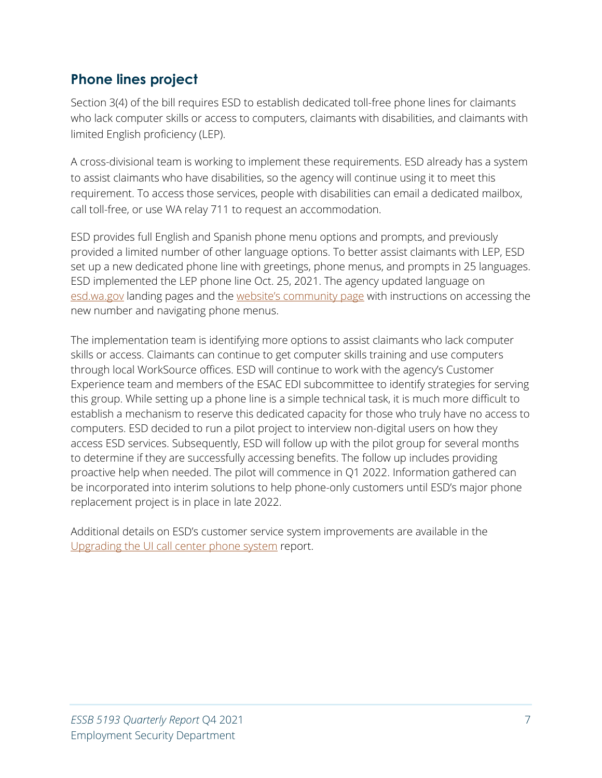#### <span id="page-6-0"></span>**Phone lines project**

Section 3(4) of the bill requires ESD to establish dedicated toll-free phone lines for claimants who lack computer skills or access to computers, claimants with disabilities, and claimants with limited English proficiency (LEP).

A cross-divisional team is working to implement these requirements. ESD already has a system to assist claimants who have disabilities, so the agency will continue using it to meet this requirement. To access those services, people with disabilities can email a dedicated mailbox, call toll-free, or use WA relay 711 to request an accommodation.

ESD provides full English and Spanish phone menu options and prompts, and previously provided a limited number of other language options. To better assist claimants with LEP, ESD set up a new dedicated phone line with greetings, phone menus, and prompts in 25 languages. ESD implemented the LEP phone line Oct. 25, 2021. The agency updated language on esd.wa.gov landing pages and the website's [community page](https://esd.wa.gov/community) with instructions on accessing the new number and navigating phone menus.

The implementation team is identifying more options to assist claimants who lack computer skills or access. Claimants can continue to get computer skills training and use computers through local WorkSource offices. ESD will continue to work with the agency's Customer Experience team and members of the ESAC EDI subcommittee to identify strategies for serving this group. While setting up a phone line is a simple technical task, it is much more difficult to establish a mechanism to reserve this dedicated capacity for those who truly have no access to computers. ESD decided to run a pilot project to interview non-digital users on how they access ESD services. Subsequently, ESD will follow up with the pilot group for several months to determine if they are successfully accessing benefits. The follow up includes providing proactive help when needed. The pilot will commence in Q1 2022. Information gathered can be incorporated into interim solutions to help phone-only customers until ESD's major phone replacement project is in place in late 2022.

Additional details on ESD's customer service system improvements are available in the [Upgrading the UI call center phone system](https://media.esd.wa.gov/esdwa/Default/ESDWAGOV/newsroom/Legislative-resources/2021-ui-google-ccai-report.pdf) report.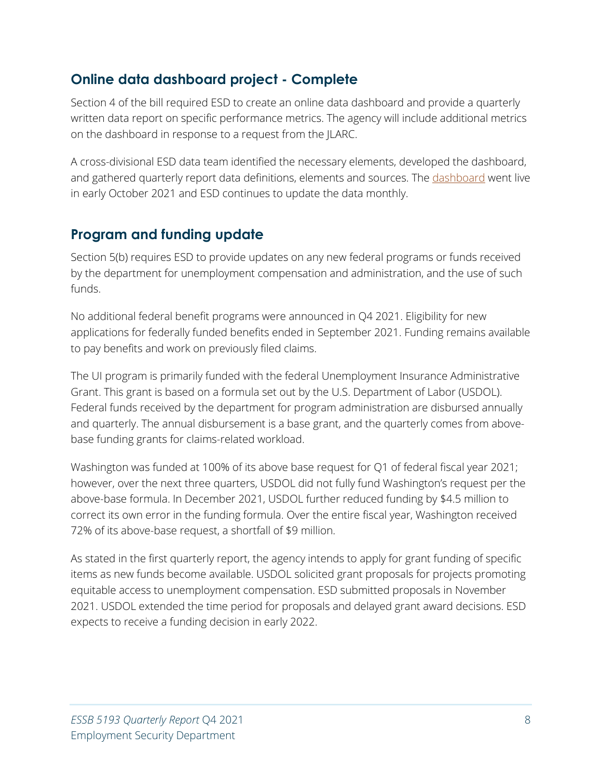#### <span id="page-7-0"></span>**Online data dashboard project - Complete**

Section 4 of the bill required ESD to create an online data dashboard and provide a quarterly written data report on specific performance metrics. The agency will include additional metrics on the dashboard in response to a request from the JLARC.

A cross-divisional ESD data team identified the necessary elements, developed the dashboard, and gathered quarterly report data definitions, elements and sources. The [dashboard](https://www.esd.wa.gov/unemployment/dashboard) went live in early October 2021 and ESD continues to update the data monthly.

#### <span id="page-7-1"></span>**Program and funding update**

Section 5(b) requires ESD to provide updates on any new federal programs or funds received by the department for unemployment compensation and administration, and the use of such funds.

No additional federal benefit programs were announced in Q4 2021. Eligibility for new applications for federally funded benefits ended in September 2021. Funding remains available to pay benefits and work on previously filed claims.

The UI program is primarily funded with the federal Unemployment Insurance Administrative Grant. This grant is based on a formula set out by the U.S. Department of Labor (USDOL). Federal funds received by the department for program administration are disbursed annually and quarterly. The annual disbursement is a base grant, and the quarterly comes from abovebase funding grants for claims-related workload.

Washington was funded at 100% of its above base request for Q1 of federal fiscal year 2021; however, over the next three quarters, USDOL did not fully fund Washington's request per the above-base formula. In December 2021, USDOL further reduced funding by \$4.5 million to correct its own error in the funding formula. Over the entire fiscal year, Washington received 72% of its above-base request, a shortfall of \$9 million.

As stated in the first quarterly report, the agency intends to apply for grant funding of specific items as new funds become available. USDOL solicited grant proposals for projects promoting equitable access to unemployment compensation. ESD submitted proposals in November 2021. USDOL extended the time period for proposals and delayed grant award decisions. ESD expects to receive a funding decision in early 2022.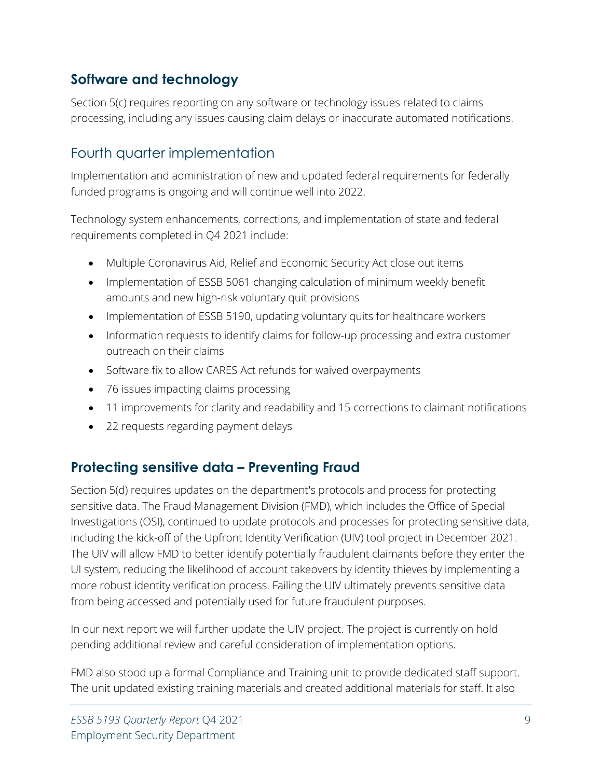#### <span id="page-8-0"></span>**Software and technology**

Section 5(c) requires reporting on any software or technology issues related to claims processing, including any issues causing claim delays or inaccurate automated notifications.

#### Fourth quarter implementation

Implementation and administration of new and updated federal requirements for federally funded programs is ongoing and will continue well into 2022.

Technology system enhancements, corrections, and implementation of state and federal requirements completed in Q4 2021 include:

- Multiple Coronavirus Aid, Relief and Economic Security Act close out items
- Implementation of ESSB 5061 changing calculation of minimum weekly benefit amounts and new high-risk voluntary quit provisions
- Implementation of ESSB 5190, updating voluntary quits for healthcare workers
- Information requests to identify claims for follow-up processing and extra customer outreach on their claims
- Software fix to allow CARES Act refunds for waived overpayments
- 76 issues impacting claims processing
- 11 improvements for clarity and readability and 15 corrections to claimant notifications
- 22 requests regarding payment delays

#### <span id="page-8-1"></span>**Protecting sensitive data – Preventing Fraud**

Section 5(d) requires updates on the department's protocols and process for protecting sensitive data. The Fraud Management Division (FMD), which includes the Office of Special Investigations (OSI), continued to update protocols and processes for protecting sensitive data, including the kick-off of the Upfront Identity Verification (UIV) tool project in December 2021. The UIV will allow FMD to better identify potentially fraudulent claimants before they enter the UI system, reducing the likelihood of account takeovers by identity thieves by implementing a more robust identity verification process. Failing the UIV ultimately prevents sensitive data from being accessed and potentially used for future fraudulent purposes.

In our next report we will further update the UIV project. The project is currently on hold pending additional review and careful consideration of implementation options.

FMD also stood up a formal Compliance and Training unit to provide dedicated staff support. The unit updated existing training materials and created additional materials for staff. It also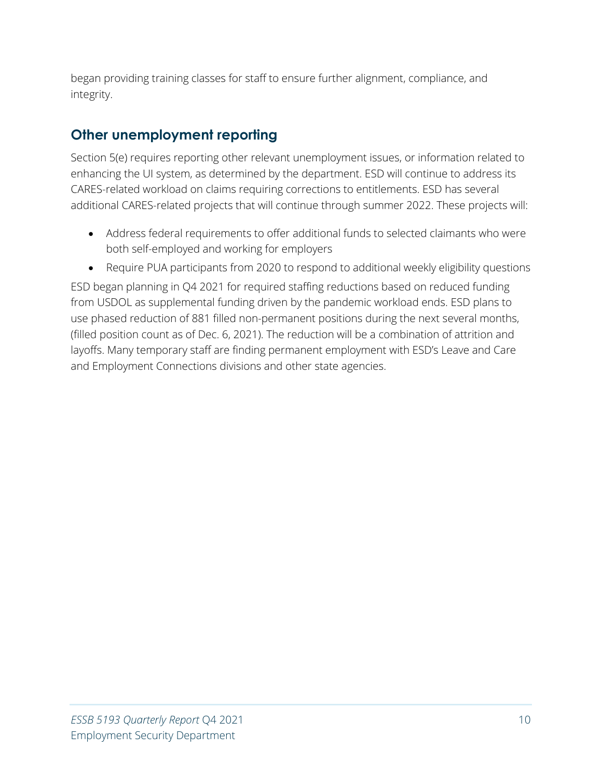began providing training classes for staff to ensure further alignment, compliance, and integrity.

#### <span id="page-9-0"></span>**Other unemployment reporting**

Section 5(e) requires reporting other relevant unemployment issues, or information related to enhancing the UI system, as determined by the department. ESD will continue to address its CARES-related workload on claims requiring corrections to entitlements. ESD has several additional CARES-related projects that will continue through summer 2022. These projects will:

- Address federal requirements to offer additional funds to selected claimants who were both self-employed and working for employers
- Require PUA participants from 2020 to respond to additional weekly eligibility questions

ESD began planning in Q4 2021 for required staffing reductions based on reduced funding from USDOL as supplemental funding driven by the pandemic workload ends. ESD plans to use phased reduction of 881 filled non-permanent positions during the next several months, (filled position count as of Dec. 6, 2021). The reduction will be a combination of attrition and layoffs. Many temporary staff are finding permanent employment with ESD's Leave and Care and Employment Connections divisions and other state agencies.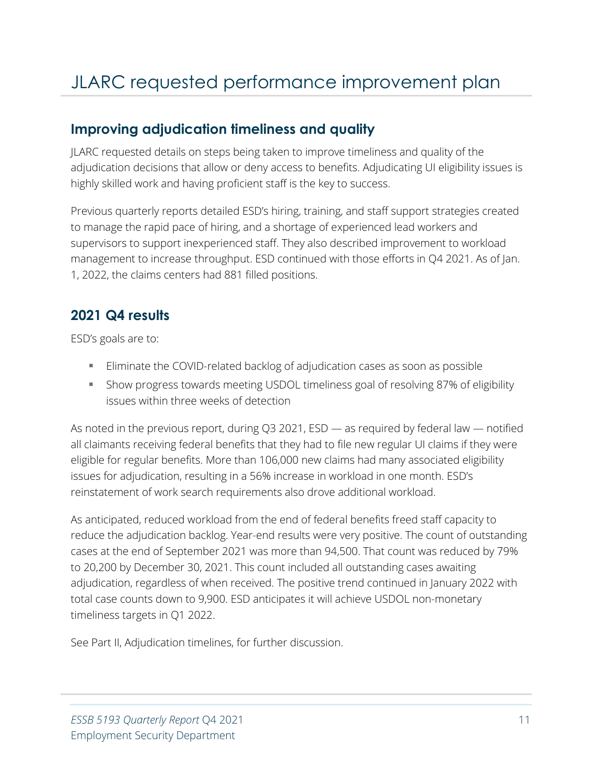#### <span id="page-10-1"></span><span id="page-10-0"></span>**Improving adjudication timeliness and quality**

JLARC requested details on steps being taken to improve timeliness and quality of the adjudication decisions that allow or deny access to benefits. Adjudicating UI eligibility issues is highly skilled work and having proficient staff is the key to success.

Previous quarterly reports detailed ESD's hiring, training, and staff support strategies created to manage the rapid pace of hiring, and a shortage of experienced lead workers and supervisors to support inexperienced staff. They also described improvement to workload management to increase throughput. ESD continued with those efforts in Q4 2021. As of Jan. 1, 2022, the claims centers had 881 filled positions.

#### <span id="page-10-2"></span>**2021 Q4 results**

ESD's goals are to:

- Eliminate the COVID-related backlog of adjudication cases as soon as possible
- Show progress towards meeting USDOL timeliness goal of resolving 87% of eligibility issues within three weeks of detection

As noted in the previous report, during Q3 2021, ESD — as required by federal law — notified all claimants receiving federal benefits that they had to file new regular UI claims if they were eligible for regular benefits. More than 106,000 new claims had many associated eligibility issues for adjudication, resulting in a 56% increase in workload in one month. ESD's reinstatement of work search requirements also drove additional workload.

As anticipated, reduced workload from the end of federal benefits freed staff capacity to reduce the adjudication backlog. Year-end results were very positive. The count of outstanding cases at the end of September 2021 was more than 94,500. That count was reduced by 79% to 20,200 by December 30, 2021. This count included all outstanding cases awaiting adjudication, regardless of when received. The positive trend continued in January 2022 with total case counts down to 9,900. ESD anticipates it will achieve USDOL non-monetary timeliness targets in Q1 2022.

See Part II, Adjudication timelines, for further discussion.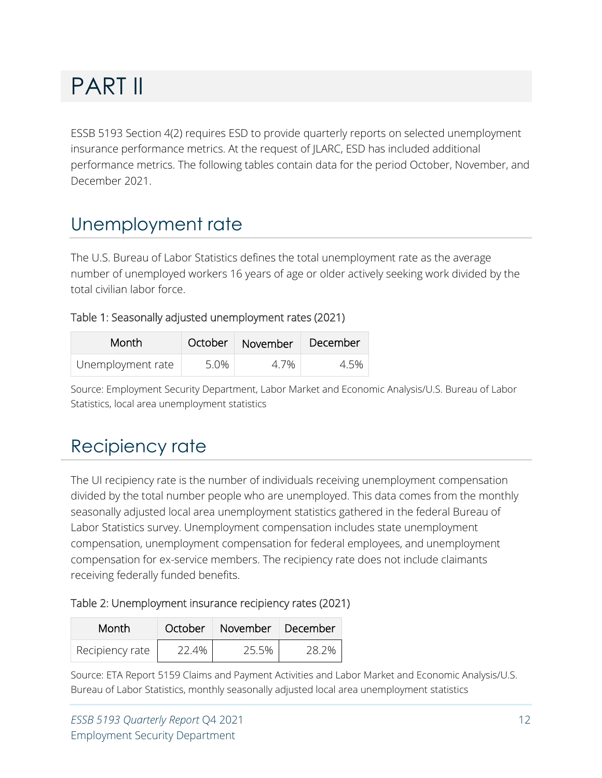## <span id="page-11-0"></span>PART II

ESSB 5193 Section 4(2) requires ESD to provide quarterly reports on selected unemployment insurance performance metrics. At the request of JLARC, ESD has included additional performance metrics. The following tables contain data for the period October, November, and December 2021.

### <span id="page-11-1"></span>Unemployment rate

The U.S. Bureau of Labor Statistics defines the total unemployment rate as the average number of unemployed workers 16 years of age or older actively seeking work divided by the total civilian labor force.

#### Table 1: Seasonally adjusted unemployment rates (2021)

| Month             |      | October November December |      |
|-------------------|------|---------------------------|------|
| Unemployment rate | 5.0% | 4.7%                      | 4.5% |

Source: Employment Security Department, Labor Market and Economic Analysis/U.S. Bureau of Labor Statistics, local area unemployment statistics

## <span id="page-11-2"></span>Recipiency rate

The UI recipiency rate is the number of individuals receiving unemployment compensation divided by the total number people who are unemployed. This data comes from the monthly seasonally adjusted local area unemployment statistics gathered in the federal Bureau of Labor Statistics survey. Unemployment compensation includes state unemployment compensation, unemployment compensation for federal employees, and unemployment compensation for ex-service members. The recipiency rate does not include claimants receiving federally funded benefits.

#### Table 2: Unemployment insurance recipiency rates (2021)

| Month           | October | November | December |
|-----------------|---------|----------|----------|
| Recipiency rate | 22.4%   | 25.5%    | 28.2%    |

Source: ETA Report 5159 Claims and Payment Activities and Labor Market and Economic Analysis/U.S. Bureau of Labor Statistics, monthly seasonally adjusted local area unemployment statistics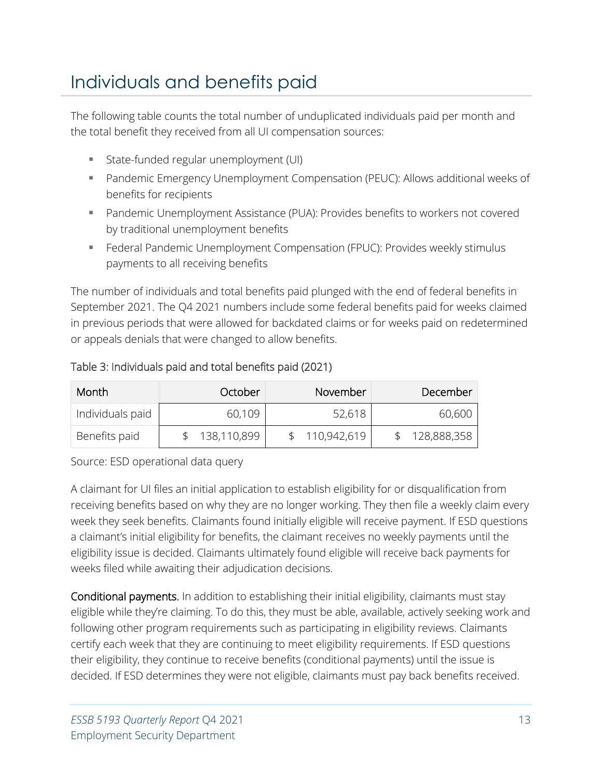## <span id="page-12-0"></span>Individuals and benefits paid

The following table counts the total number of unduplicated individuals paid per month and the total benefit they received from all UI compensation sources:

- State-funded regular unemployment (UI)
- Pandemic Emergency Unemployment Compensation (PEUC): Allows additional weeks of benefits for recipients
- Pandemic Unemployment Assistance (PUA): Provides benefits to workers not covered by traditional unemployment benefits
- **Federal Pandemic Unemployment Compensation (FPUC): Provides weekly stimulus** payments to all receiving benefits

The number of individuals and total benefits paid plunged with the end of federal benefits in September 2021. The Q4 2021 numbers include some federal benefits paid for weeks claimed in previous periods that were allowed for backdated claims or for weeks paid on redetermined or appeals denials that were changed to allow benefits.

Table 3: Individuals paid and total benefits paid (2021)

| Month            | October     | November    | December    |
|------------------|-------------|-------------|-------------|
| Individuals paid | 60,109      | 52,618      | 60,600      |
| Benefits paid    | 138,110,899 | 110,942,619 | 128,888,358 |

Source: ESD operational data query

A claimant for UI files an initial application to establish eligibility for or disqualification from receiving benefits based on why they are no longer working. They then file a weekly claim every week they seek benefits. Claimants found initially eligible will receive payment. If ESD questions a claimant's initial eligibility for benefits, the claimant receives no weekly payments until the eligibility issue is decided. Claimants ultimately found eligible will receive back payments for weeks filed while awaiting their adjudication decisions.

Conditional payments. In addition to establishing their initial eligibility, claimants must stay eligible while they're claiming. To do this, they must be able, available, actively seeking work and following other program requirements such as participating in eligibility reviews. Claimants certify each week that they are continuing to meet eligibility requirements. If ESD questions their eligibility, they continue to receive benefits (conditional payments) until the issue is decided. If ESD determines they were not eligible, claimants must pay back benefits received.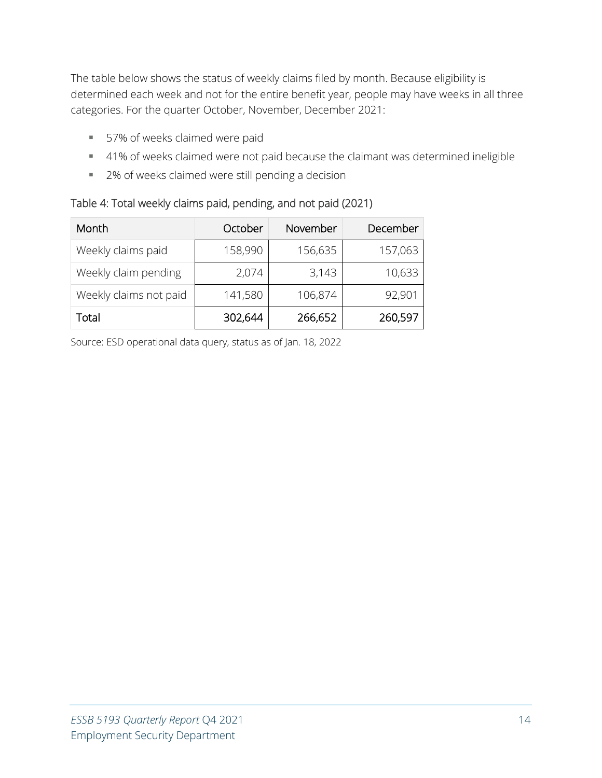The table below shows the status of weekly claims filed by month. Because eligibility is determined each week and not for the entire benefit year, people may have weeks in all three categories. For the quarter October, November, December 2021:

- 57% of weeks claimed were paid
- 41% of weeks claimed were not paid because the claimant was determined ineligible
- 2% of weeks claimed were still pending a decision

| Table 4: Total weekly claims paid, pending, and not paid (2021) |  |  |
|-----------------------------------------------------------------|--|--|
|                                                                 |  |  |

| Month                  | October | November | December |
|------------------------|---------|----------|----------|
| Weekly claims paid     | 158,990 | 156,635  | 157,063  |
| Weekly claim pending   | 2,074   | 3,143    | 10,633   |
| Weekly claims not paid | 141,580 | 106,874  | 92,901   |
| Total                  | 302,644 | 266,652  | 260,597  |

Source: ESD operational data query, status as of Jan. 18, 2022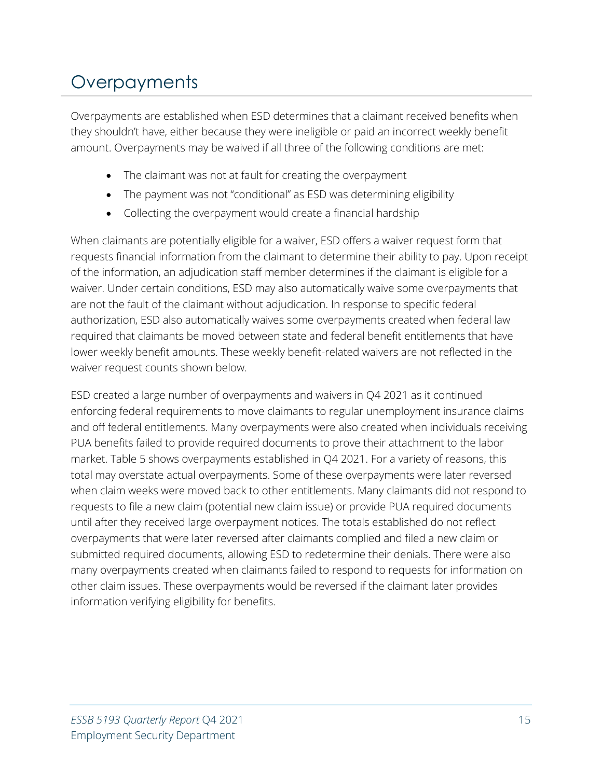## <span id="page-14-0"></span>**Overpayments**

Overpayments are established when ESD determines that a claimant received benefits when they shouldn't have, either because they were ineligible or paid an incorrect weekly benefit amount. Overpayments may be waived if all three of the following conditions are met:

- The claimant was not at fault for creating the overpayment
- The payment was not "conditional" as ESD was determining eligibility
- Collecting the overpayment would create a financial hardship

When claimants are potentially eligible for a waiver, ESD offers a waiver request form that requests financial information from the claimant to determine their ability to pay. Upon receipt of the information, an adjudication staff member determines if the claimant is eligible for a waiver. Under certain conditions, ESD may also automatically waive some overpayments that are not the fault of the claimant without adjudication. In response to specific federal authorization, ESD also automatically waives some overpayments created when federal law required that claimants be moved between state and federal benefit entitlements that have lower weekly benefit amounts. These weekly benefit-related waivers are not reflected in the waiver request counts shown below.

ESD created a large number of overpayments and waivers in Q4 2021 as it continued enforcing federal requirements to move claimants to regular unemployment insurance claims and off federal entitlements. Many overpayments were also created when individuals receiving PUA benefits failed to provide required documents to prove their attachment to the labor market. Table 5 shows overpayments established in Q4 2021. For a variety of reasons, this total may overstate actual overpayments. Some of these overpayments were later reversed when claim weeks were moved back to other entitlements. Many claimants did not respond to requests to file a new claim (potential new claim issue) or provide PUA required documents until after they received large overpayment notices. The totals established do not reflect overpayments that were later reversed after claimants complied and filed a new claim or submitted required documents, allowing ESD to redetermine their denials. There were also many overpayments created when claimants failed to respond to requests for information on other claim issues. These overpayments would be reversed if the claimant later provides information verifying eligibility for benefits.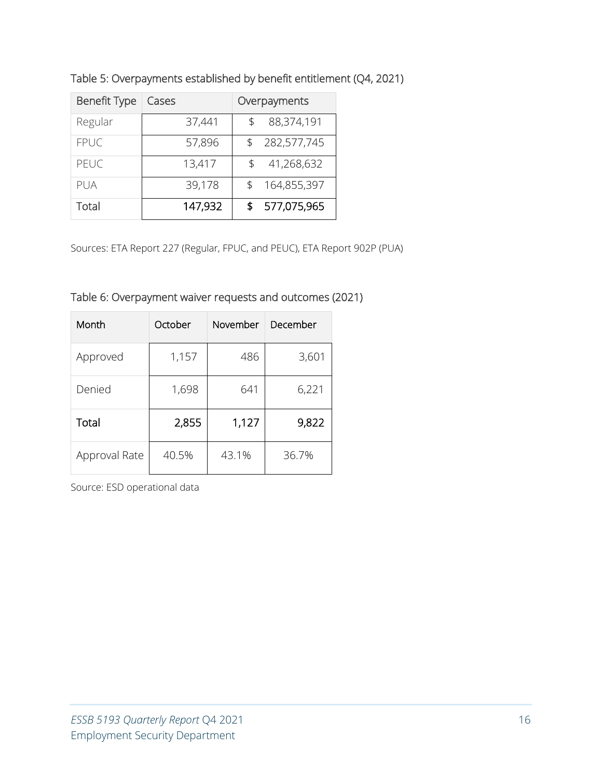| <b>Benefit Type</b> | Cases   | Overpayments      |
|---------------------|---------|-------------------|
| Regular             | 37,441  | 88,374,191<br>\$. |
| <b>FPUC</b>         | 57,896  | 282,577,745<br>\$ |
| PEUC                | 13,417  | 41,268,632<br>\$  |
| PUA                 | 39,178  | 164,855,397<br>\$ |
| Total               | 147,932 | 577,075,965<br>\$ |

Table 5: Overpayments established by benefit entitlement (Q4, 2021)

Sources: ETA Report 227 (Regular, FPUC, and PEUC), ETA Report 902P (PUA)

Table 6: Overpayment waiver requests and outcomes (2021)

| Month         | October | November | December |
|---------------|---------|----------|----------|
| Approved      | 1,157   | 486      | 3,601    |
| Denied        | 1,698   | 641      | 6,221    |
| Total         | 2,855   | 1,127    | 9,822    |
| Approval Rate | 40.5%   | 43.1%    | 36.7%    |

Source: ESD operational data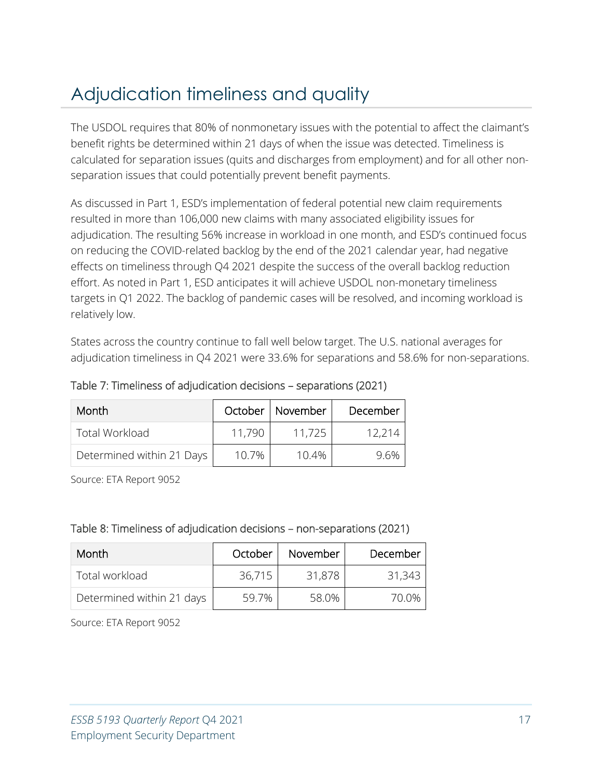## <span id="page-16-0"></span>Adjudication timeliness and quality

The USDOL requires that 80% of nonmonetary issues with the potential to affect the claimant's benefit rights be determined within 21 days of when the issue was detected. Timeliness is calculated for separation issues (quits and discharges from employment) and for all other nonseparation issues that could potentially prevent benefit payments.

As discussed in Part 1, ESD's implementation of federal potential new claim requirements resulted in more than 106,000 new claims with many associated eligibility issues for adjudication. The resulting 56% increase in workload in one month, and ESD's continued focus on reducing the COVID-related backlog by the end of the 2021 calendar year, had negative effects on timeliness through Q4 2021 despite the success of the overall backlog reduction effort. As noted in Part 1, ESD anticipates it will achieve USDOL non-monetary timeliness targets in Q1 2022. The backlog of pandemic cases will be resolved, and incoming workload is relatively low.

States across the country continue to fall well below target. The U.S. national averages for adjudication timeliness in Q4 2021 were 33.6% for separations and 58.6% for non-separations.

| Month                     |        | October   November | December |
|---------------------------|--------|--------------------|----------|
| <b>Total Workload</b>     | 11.790 | 11,725             |          |
| Determined within 21 Days | 10.7%  | 10.4%              | 6%       |

#### Table 7: Timeliness of adjudication decisions – separations (2021)

Source: ETA Report 9052

#### Table 8: Timeliness of adjudication decisions – non-separations (2021)

| Month                     | October | November | December |
|---------------------------|---------|----------|----------|
| Total workload            | 36,715  | 31,878   | 31,343   |
| Determined within 21 days | 59.7%   | 58.0%    | 7በ በ%    |

Source: ETA Report 9052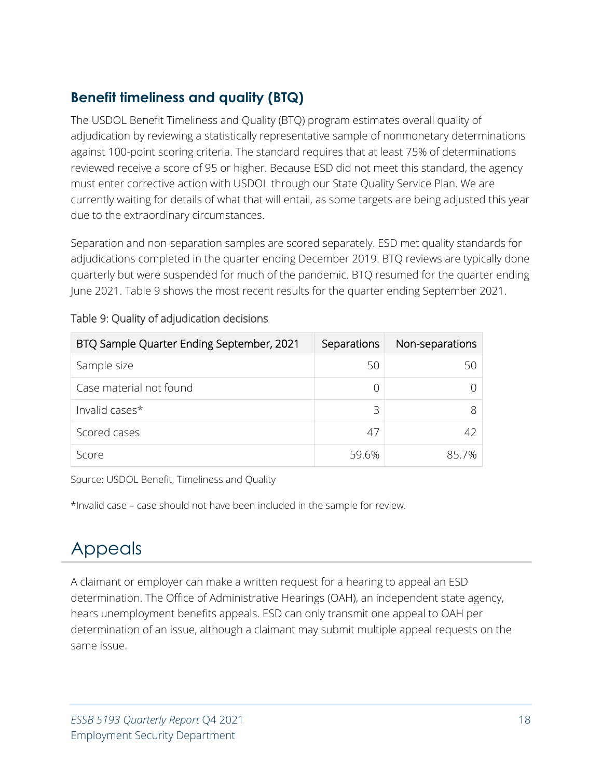#### <span id="page-17-0"></span>**Benefit timeliness and quality (BTQ)**

The USDOL Benefit Timeliness and Quality (BTQ) program estimates overall quality of adjudication by reviewing a statistically representative sample of nonmonetary determinations against 100-point scoring criteria. The standard requires that at least 75% of determinations reviewed receive a score of 95 or higher. Because ESD did not meet this standard, the agency must enter corrective action with USDOL through our State Quality Service Plan. We are currently waiting for details of what that will entail, as some targets are being adjusted this year due to the extraordinary circumstances.

Separation and non-separation samples are scored separately. ESD met quality standards for adjudications completed in the quarter ending December 2019. BTQ reviews are typically done quarterly but were suspended for much of the pandemic. BTQ resumed for the quarter ending June 2021. Table 9 shows the most recent results for the quarter ending September 2021.

| BTQ Sample Quarter Ending September, 2021 | Separations | Non-separations |
|-------------------------------------------|-------------|-----------------|
| Sample size                               | 50          |                 |
| Case material not found                   |             |                 |
| Invalid cases*                            | っ           |                 |
| Scored cases                              | 47          |                 |
| Score                                     | 59.6%       |                 |

#### Table 9: Quality of adjudication decisions

Source: USDOL Benefit, Timeliness and Quality

\*Invalid case – case should not have been included in the sample for review.

### <span id="page-17-1"></span>Appeals

A claimant or employer can make a written request for a hearing to appeal an ESD determination. The Office of Administrative Hearings (OAH), an independent state agency, hears unemployment benefits appeals. ESD can only transmit one appeal to OAH per determination of an issue, although a claimant may submit multiple appeal requests on the same issue.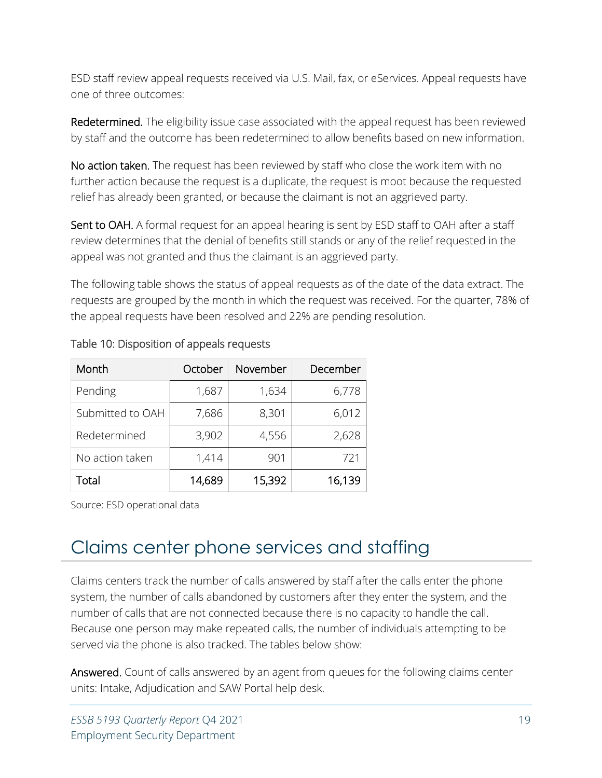ESD staff review appeal requests received via U.S. Mail, fax, or eServices. Appeal requests have one of three outcomes:

Redetermined. The eligibility issue case associated with the appeal request has been reviewed by staff and the outcome has been redetermined to allow benefits based on new information.

No action taken. The request has been reviewed by staff who close the work item with no further action because the request is a duplicate, the request is moot because the requested relief has already been granted, or because the claimant is not an aggrieved party.

Sent to OAH. A formal request for an appeal hearing is sent by ESD staff to OAH after a staff review determines that the denial of benefits still stands or any of the relief requested in the appeal was not granted and thus the claimant is an aggrieved party.

The following table shows the status of appeal requests as of the date of the data extract. The requests are grouped by the month in which the request was received. For the quarter, 78% of the appeal requests have been resolved and 22% are pending resolution.

| Month            | October | November | December |
|------------------|---------|----------|----------|
| Pending          | 1,687   | 1,634    | 6,778    |
| Submitted to OAH | 7,686   | 8,301    | 6,012    |
| Redetermined     | 3,902   | 4,556    | 2,628    |
| No action taken  | 1,414   | 901      | 721      |
| Total            | 14,689  | 15,392   | 16,139   |

|  |  | Table 10: Disposition of appeals requests |  |  |
|--|--|-------------------------------------------|--|--|
|--|--|-------------------------------------------|--|--|

Source: ESD operational data

### <span id="page-18-0"></span>Claims center phone services and staffing

Claims centers track the number of calls answered by staff after the calls enter the phone system, the number of calls abandoned by customers after they enter the system, and the number of calls that are not connected because there is no capacity to handle the call. Because one person may make repeated calls, the number of individuals attempting to be served via the phone is also tracked. The tables below show:

Answered. Count of calls answered by an agent from queues for the following claims center units: Intake, Adjudication and SAW Portal help desk.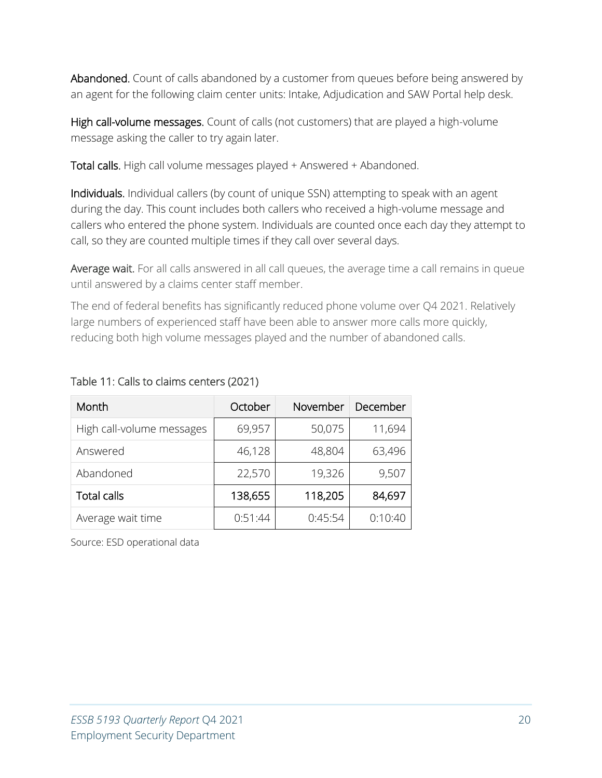Abandoned. Count of calls abandoned by a customer from queues before being answered by an agent for the following claim center units: Intake, Adjudication and SAW Portal help desk.

High call-volume messages. Count of calls (not customers) that are played a high-volume message asking the caller to try again later.

Total calls. High call volume messages played + Answered + Abandoned.

Individuals. Individual callers (by count of unique SSN) attempting to speak with an agent during the day. This count includes both callers who received a high-volume message and callers who entered the phone system. Individuals are counted once each day they attempt to call, so they are counted multiple times if they call over several days.

Average wait. For all calls answered in all call queues, the average time a call remains in queue until answered by a claims center staff member.

The end of federal benefits has significantly reduced phone volume over Q4 2021. Relatively large numbers of experienced staff have been able to answer more calls more quickly, reducing both high volume messages played and the number of abandoned calls.

| Month                     | October | November | December |
|---------------------------|---------|----------|----------|
| High call-volume messages | 69,957  | 50,075   | 11,694   |
| Answered                  | 46,128  | 48,804   | 63,496   |
| Abandoned                 | 22,570  | 19,326   | 9,507    |
| <b>Total calls</b>        | 138,655 | 118,205  | 84,697   |
| Average wait time         | 0:51:44 | 0:45:54  | 0:10:40  |

#### Table 11: Calls to claims centers (2021)

Source: ESD operational data